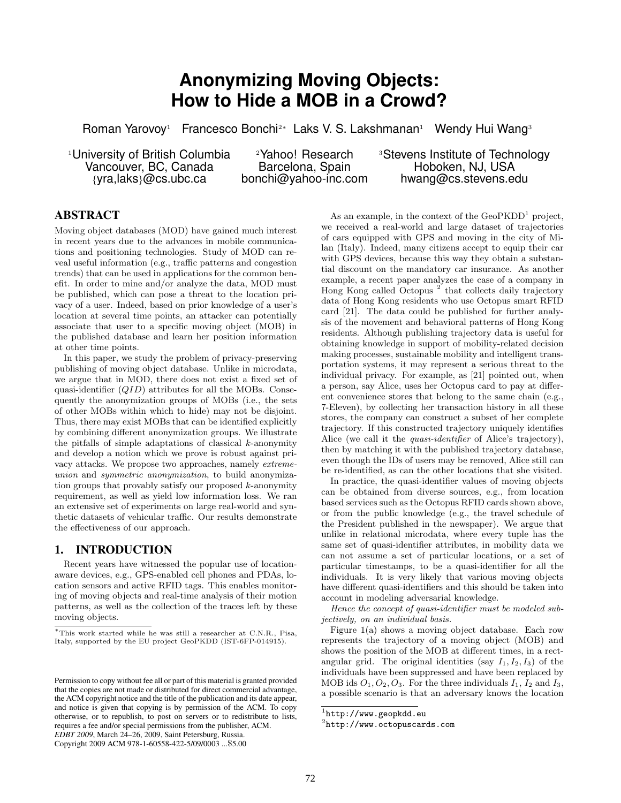# **Anonymizing Moving Objects: How to Hide a MOB in a Crowd?**

Roman Yarovoy<sup>1</sup> Francesco Bonchi<sup>2</sup>∗ Laks V. S. Lakshmanan<sup>1</sup> Wendy Hui Wang<sup>3</sup>

Vancouver, BC, Canada

<sup>1</sup>University of British Columbia <br>2Yahoo! Research 3Stevens Institute of Technology<br>2Steretona, Spain 3Stevens NJ, USA {yra,laks}@cs.ubc.ca bonchi@yahoo-inc.com hwang@cs.stevens.edu

# **ABSTRACT**

Moving object databases (MOD) have gained much interest in recent years due to the advances in mobile communications and positioning technologies. Study of MOD can reveal useful information (e.g., traffic patterns and congestion trends) that can be used in applications for the common benefit. In order to mine and/or analyze the data, MOD must be published, which can pose a threat to the location privacy of a user. Indeed, based on prior knowledge of a user's location at several time points, an attacker can potentially associate that user to a specific moving object (MOB) in the published database and learn her position information at other time points.

In this paper, we study the problem of privacy-preserving publishing of moving object database. Unlike in microdata, we argue that in MOD, there does not exist a fixed set of quasi-identifier  $(QID)$  attributes for all the MOBs. Consequently the anonymization groups of MOBs (i.e., the sets of other MOBs within which to hide) may not be disjoint. Thus, there may exist MOBs that can be identified explicitly by combining different anonymization groups. We illustrate the pitfalls of simple adaptations of classical  $k$ -anonymity and develop a notion which we prove is robust against privacy attacks. We propose two approaches, namely extremeunion and symmetric anonymization, to build anonymization groups that provably satisfy our proposed k-anonymity requirement, as well as yield low information loss. We ran an extensive set of experiments on large real-world and synthetic datasets of vehicular traffic. Our results demonstrate the effectiveness of our approach.

# **1. INTRODUCTION**

Recent years have witnessed the popular use of locationaware devices, e.g., GPS-enabled cell phones and PDAs, location sensors and active RFID tags. This enables monitoring of moving objects and real-time analysis of their motion patterns, as well as the collection of the traces left by these moving objects.

Copyright 2009 ACM 978-1-60558-422-5/09/0003 ...\$5.00

As an example, in the context of the  $GeoPKDD<sup>1</sup>$  project, we received a real-world and large dataset of trajectories of cars equipped with GPS and moving in the city of Milan (Italy). Indeed, many citizens accept to equip their car with GPS devices, because this way they obtain a substantial discount on the mandatory car insurance. As another example, a recent paper analyzes the case of a company in Hong Kong called Octopus<sup>2</sup> that collects daily trajectory data of Hong Kong residents who use Octopus smart RFID card [21]. The data could be published for further analysis of the movement and behavioral patterns of Hong Kong residents. Although publishing trajectory data is useful for obtaining knowledge in support of mobility-related decision making processes, sustainable mobility and intelligent transportation systems, it may represent a serious threat to the individual privacy. For example, as [21] pointed out, when a person, say Alice, uses her Octopus card to pay at different convenience stores that belong to the same chain (e.g., 7-Eleven), by collecting her transaction history in all these stores, the company can construct a subset of her complete trajectory. If this constructed trajectory uniquely identifies Alice (we call it the *quasi-identifier* of Alice's trajectory), then by matching it with the published trajectory database, even though the IDs of users may be removed, Alice still can be re-identified, as can the other locations that she visited.

In practice, the quasi-identifier values of moving objects can be obtained from diverse sources, e.g., from location based services such as the Octopus RFID cards shown above, or from the public knowledge (e.g., the travel schedule of the President published in the newspaper). We argue that unlike in relational microdata, where every tuple has the same set of quasi-identifier attributes, in mobility data we can not assume a set of particular locations, or a set of particular timestamps, to be a quasi-identifier for all the individuals. It is very likely that various moving objects have different quasi-identifiers and this should be taken into account in modeling adversarial knowledge.

Hence the concept of quasi-identifier must be modeled subjectively, on an individual basis.

Figure 1(a) shows a moving object database. Each row represents the trajectory of a moving object (MOB) and shows the position of the MOB at different times, in a rectangular grid. The original identities (say  $I_1, I_2, I_3$ ) of the individuals have been suppressed and have been replaced by MOB ids  $O_1$ ,  $O_2$ ,  $O_3$ . For the three individuals  $I_1$ ,  $I_2$  and  $I_3$ , a possible scenario is that an adversary knows the location

<sup>∗</sup>This work started while he was still a researcher at C.N.R., Pisa, Italy, supported by the EU project GeoPKDD (IST-6FP-014915).

Permission to copy without fee all or part of this material is granted provided that the copies are not made or distributed for direct commercial advantage, the ACM copyright notice and the title of the publication and its date appear, and notice is given that copying is by permission of the ACM. To copy otherwise, or to republish, to post on servers or to redistribute to lists, requires a fee and/or special permissions from the publisher, ACM. *EDBT 2009*, March 24–26, 2009, Saint Petersburg, Russia.

 $^{1}$ http://www.geopkdd.eu

 $^{2}$ http://www.octopuscards.com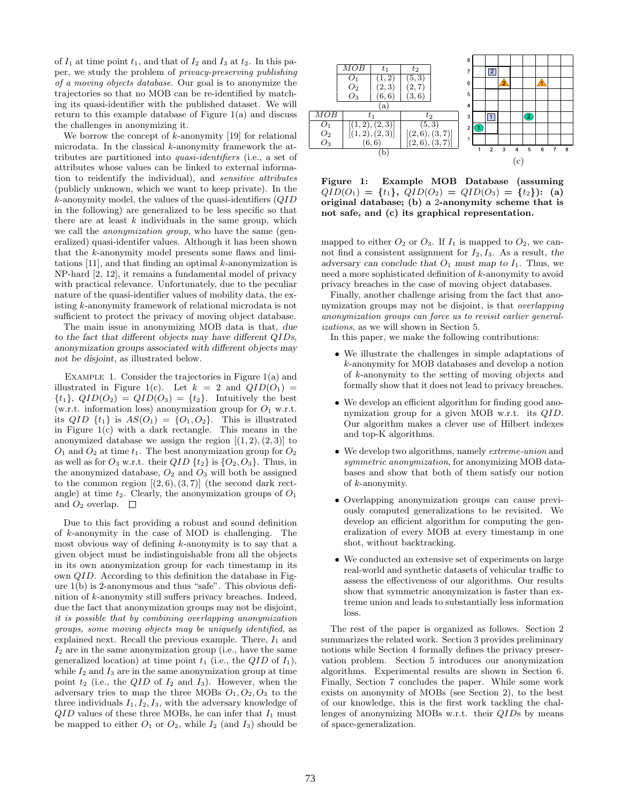of  $I_1$  at time point  $t_1$ , and that of  $I_2$  and  $I_3$  at  $t_2$ . In this paper, we study the problem of privacy-preserving publishing of a moving objects database. Our goal is to anonymize the trajectories so that no MOB can be re-identified by matching its quasi-identifier with the published dataset. We will return to this example database of Figure 1(a) and discuss the challenges in anonymizing it.

We borrow the concept of  $k$ -anonymity [19] for relational microdata. In the classical k-anonymity framework the attributes are partitioned into quasi-identifiers (i.e., a set of attributes whose values can be linked to external information to reidentify the individual), and sensitive attributes (publicly unknown, which we want to keep private). In the  $k$ -anonymity model, the values of the quasi-identifiers  $(QID)$ in the following) are generalized to be less specific so that there are at least  $k$  individuals in the same group, which we call the anonymization group, who have the same (generalized) quasi-identifer values. Although it has been shown that the k-anonymity model presents some flaws and limitations  $[11]$ , and that finding an optimal  $k$ -anonymization is NP-hard [2, 12], it remains a fundamental model of privacy with practical relevance. Unfortunately, due to the peculiar nature of the quasi-identifier values of mobility data, the existing k-anonymity framework of relational microdata is not sufficient to protect the privacy of moving object database.

The main issue in anonymizing MOB data is that, due to the fact that different objects may have different QIDs, anonymization groups associated with different objects may not be disjoint, as illustrated below.

EXAMPLE 1. Consider the trajectories in Figure 1(a) and illustrated in Figure 1(c). Let  $k = 2$  and  $QID(O_1) =$  $\{t_1\}$ ,  $QID(O_2) = QID(O_3) = \{t_2\}$ . Intuitively the best (w.r.t. information loss) anonymization group for  $O_1$  w.r.t. its  $QID \{t_1\}$  is  $AS(O_1) = \{O_1, O_2\}$ . This is illustrated in Figure 1(c) with a dark rectangle. This means in the anonymized database we assign the region  $[(1, 2), (2, 3)]$  to  $O_1$  and  $O_2$  at time  $t_1$ . The best anonymization group for  $O_2$ as well as for  $O_3$  w.r.t. their  $QID \{t_2\}$  is  $\{O_2, O_3\}$ . Thus, in the anonymized database,  $O_2$  and  $O_3$  will both be assigned to the common region  $[(2,6),(3,7)]$  (the second dark rectangle) at time  $t_2$ . Clearly, the anonymization groups of  $O_1$ and  $O_2$  overlap.  $\Box$ 

Due to this fact providing a robust and sound definition of k-anonymity in the case of MOD is challenging. The most obvious way of defining  $k$ -anonymity is to say that a given object must be indistinguishable from all the objects in its own anonymization group for each timestamp in its own QID. According to this definition the database in Figure 1(b) is 2-anonymous and thus "safe". This obvious definition of k-anonymity still suffers privacy breaches. Indeed, due the fact that anonymization groups may not be disjoint, it is possible that by combining overlapping anonymization groups, some moving objects may be uniquely identified, as explained next. Recall the previous example. There,  $I_1$  and  $I_2$  are in the same anonymization group (i.e., have the same generalized location) at time point  $t_1$  (i.e., the QID of  $I_1$ ), while  $I_2$  and  $I_3$  are in the same anonymization group at time point  $t_2$  (i.e., the QID of  $I_2$  and  $I_3$ ). However, when the adversary tries to map the three MOBs  $O_1, O_2, O_3$  to the three individuals  $I_1, I_2, I_3$ , with the adversary knowledge of  $QID$  values of these three MOBs, he can infer that  $I_1$  must be mapped to either  $O_1$  or  $O_2$ , while  $I_2$  (and  $I_3$ ) should be



Figure 1: Example MOB Database (assuming  $QID(O_1) = \{t_1\}, QID(O_2) = QID(O_3) = \{t_2\}$ : (a) original database; (b) a 2-anonymity scheme that is not safe, and (c) its graphical representation.

mapped to either  $O_2$  or  $O_3$ . If  $I_1$  is mapped to  $O_2$ , we cannot find a consistent assignment for  $I_2, I_3$ . As a result, the adversary can conclude that  $O_1$  must map to  $I_1$ . Thus, we need a more sophisticated definition of k-anonymity to avoid privacy breaches in the case of moving object databases.

Finally, another challenge arising from the fact that anonymization groups may not be disjoint, is that overlapping anonymization groups can force us to revisit earlier generalizations, as we will shown in Section 5.

In this paper, we make the following contributions:

- We illustrate the challenges in simple adaptations of k-anonymity for MOB databases and develop a notion of k-anonymity to the setting of moving objects and formally show that it does not lead to privacy breaches.
- We develop an efficient algorithm for finding good anonymization group for a given MOB w.r.t. its QID. Our algorithm makes a clever use of Hilbert indexes and top-K algorithms.
- We develop two algorithms, namely extreme-union and symmetric anonymization, for anonymizing MOB databases and show that both of them satisfy our notion of k-anonymity.
- Overlapping anonymization groups can cause previously computed generalizations to be revisited. We develop an efficient algorithm for computing the generalization of every MOB at every timestamp in one shot, without backtracking.
- We conducted an extensive set of experiments on large real-world and synthetic datasets of vehicular traffic to assess the effectiveness of our algorithms. Our results show that symmetric anonymization is faster than extreme union and leads to substantially less information loss.

The rest of the paper is organized as follows. Section 2 summarizes the related work. Section 3 provides preliminary notions while Section 4 formally defines the privacy preservation problem. Section 5 introduces our anonymization algorithms. Experimental results are shown in Section 6. Finally, Section 7 concludes the paper. While some work exists on anonymity of MOBs (see Section 2), to the best of our knowledge, this is the first work tackling the challenges of anonymizing MOBs w.r.t. their QIDs by means of space-generalization.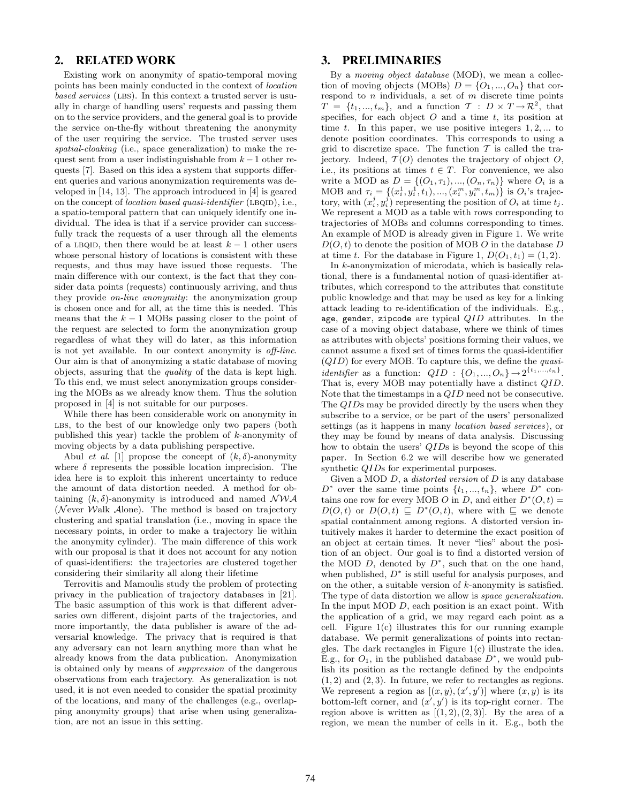# **2. RELATED WORK**

Existing work on anonymity of spatio-temporal moving points has been mainly conducted in the context of location based services (LBS). In this context a trusted server is usually in charge of handling users' requests and passing them on to the service providers, and the general goal is to provide the service on-the-fly without threatening the anonymity of the user requiring the service. The trusted server uses spatial-cloaking (i.e., space generalization) to make the request sent from a user indistinguishable from  $k-1$  other requests [7]. Based on this idea a system that supports different queries and various anonymization requirements was developed in [14, 13]. The approach introduced in [4] is geared on the concept of *location based quasi-identifier* (LBQID), i.e., a spatio-temporal pattern that can uniquely identify one individual. The idea is that if a service provider can successfully track the requests of a user through all the elements of a LBQID, then there would be at least  $k - 1$  other users whose personal history of locations is consistent with these requests, and thus may have issued those requests. The main difference with our context, is the fact that they consider data points (requests) continuously arriving, and thus they provide on-line anonymity: the anonymization group is chosen once and for all, at the time this is needed. This means that the  $k - 1$  MOBs passing closer to the point of the request are selected to form the anonymization group regardless of what they will do later, as this information is not yet available. In our context anonymity is off-line. Our aim is that of anonymizing a static database of moving objects, assuring that the quality of the data is kept high. To this end, we must select anonymization groups considering the MOBs as we already know them. Thus the solution proposed in [4] is not suitable for our purposes.

While there has been considerable work on anonymity in LBS, to the best of our knowledge only two papers (both published this year) tackle the problem of k-anonymity of moving objects by a data publishing perspective.

Abul *et al.* [1] propose the concept of  $(k, \delta)$ -anonymity where  $\delta$  represents the possible location imprecision. The idea here is to exploit this inherent uncertainty to reduce the amount of data distortion needed. A method for obtaining  $(k, \delta)$ -anonymity is introduced and named  $\mathcal{NWA}$ (Never Walk  $\mathcal{A}$ lone). The method is based on trajectory clustering and spatial translation (i.e., moving in space the necessary points, in order to make a trajectory lie within the anonymity cylinder). The main difference of this work with our proposal is that it does not account for any notion of quasi-identifiers: the trajectories are clustered together considering their similarity all along their lifetime

Terrovitis and Mamoulis study the problem of protecting privacy in the publication of trajectory databases in [21]. The basic assumption of this work is that different adversaries own different, disjoint parts of the trajectories, and more importantly, the data publisher is aware of the adversarial knowledge. The privacy that is required is that any adversary can not learn anything more than what he already knows from the data publication. Anonymization is obtained only by means of suppression of the dangerous observations from each trajectory. As generalization is not used, it is not even needed to consider the spatial proximity of the locations, and many of the challenges (e.g., overlapping anonymity groups) that arise when using generalization, are not an issue in this setting.

# **3. PRELIMINARIES**

By a *moving object database* (MOD), we mean a collection of moving objects (MOBs)  $D = \{O_1, ..., O_n\}$  that correspond to  $n$  individuals, a set of  $m$  discrete time points  $T = \{t_1, ..., t_m\}$ , and a function  $T : D \times T \rightarrow \mathbb{R}^2$ , that specifies, for each object  $O$  and a time  $t$ , its position at time t. In this paper, we use positive integers  $1, 2, \ldots$  to denote position coordinates. This corresponds to using a grid to discretize space. The function  $\mathcal T$  is called the trajectory. Indeed,  $T(O)$  denotes the trajectory of object  $O$ , i.e., its positions at times  $t \in T$ . For convenience, we also write a MOD as  $D = \{(O_1, \tau_1), ..., (O_n, \tau_n)\}\)$  where  $O_i$  is a MOB and  $\tau_i = \{(x_i^1, y_i^1, t_1), ..., (x_i^m, y_i^m, t_m)\}\$ is  $O_i$ 's trajectory, with  $(x_i^j, y_i^j)$  representing the position of  $O_i$  at time  $t_j$ . We represent a MOD as a table with rows corresponding to trajectories of MOBs and columns corresponding to times. An example of MOD is already given in Figure 1. We write  $D(O, t)$  to denote the position of MOB O in the database D at time t. For the database in Figure 1,  $D(O_1, t_1) = (1, 2)$ .

In k-anonymization of microdata, which is basically relational, there is a fundamental notion of quasi-identifier attributes, which correspond to the attributes that constitute public knowledge and that may be used as key for a linking attack leading to re-identification of the individuals. E.g., age, gender, zipcode are typical  $QID$  attributes. In the case of a moving object database, where we think of times as attributes with objects' positions forming their values, we cannot assume a fixed set of times forms the quasi-identifier  $(QID)$  for every MOB. To capture this, we define the *quasiidentifier* as a function:  $QID$  :  $\{O_1, ..., O_n\} \rightarrow 2^{\{t_1, ..., t_n\}}$ . That is, every MOB may potentially have a distinct QID. Note that the timestamps in a QID need not be consecutive. The QIDs may be provided directly by the users when they subscribe to a service, or be part of the users' personalized settings (as it happens in many location based services), or they may be found by means of data analysis. Discussing how to obtain the users' QIDs is beyond the scope of this paper. In Section 6.2 we will describe how we generated synthetic QIDs for experimental purposes.

Given a MOD  $D$ , a *distorted version* of  $D$  is any database  $D^*$  over the same time points  $\{t_1, ..., t_n\}$ , where  $D^*$  contains one row for every MOB O in D, and either  $D^*(O, t) =$  $D(O, t)$  or  $D(O, t) \subseteq D^*(O, t)$ , where with  $\subseteq$  we denote spatial containment among regions. A distorted version intuitively makes it harder to determine the exact position of an object at certain times. It never "lies" about the position of an object. Our goal is to find a distorted version of the MOD  $D$ , denoted by  $D^*$ , such that on the one hand, when published,  $D^*$  is still useful for analysis purposes, and on the other, a suitable version of  $k$ -anonymity is satisfied. The type of data distortion we allow is space generalization. In the input  $MOD D$ , each position is an exact point. With the application of a grid, we may regard each point as a cell. Figure 1(c) illustrates this for our running example database. We permit generalizations of points into rectangles. The dark rectangles in Figure 1(c) illustrate the idea. E.g., for  $O_1$ , in the published database  $D^*$ , we would publish its position as the rectangle defined by the endpoints  $(1, 2)$  and  $(2, 3)$ . In future, we refer to rectangles as regions. We represent a region as  $[(x, y), (x', y')]$  where  $(x, y)$  is its bottom-left corner, and  $(x', y')$  is its top-right corner. The region above is written as  $[(1, 2), (2, 3)]$ . By the area of a region, we mean the number of cells in it. E.g., both the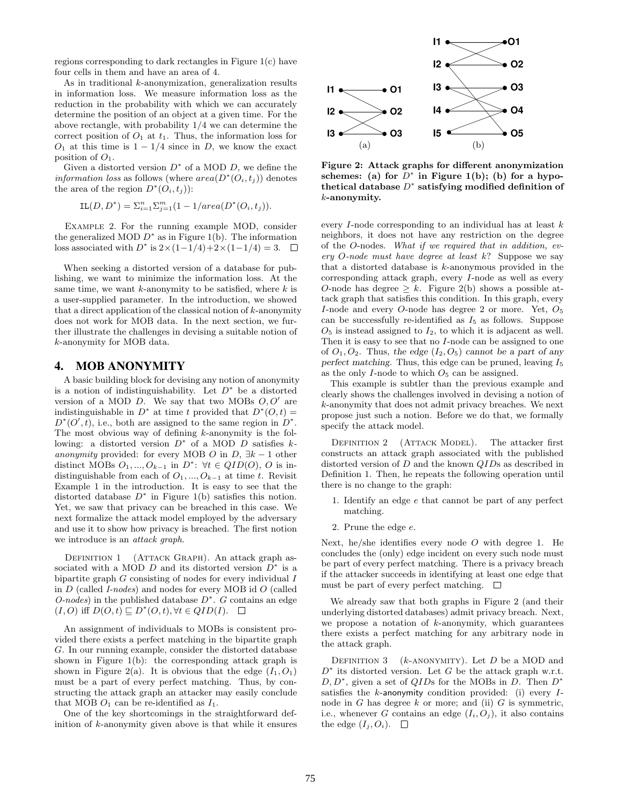regions corresponding to dark rectangles in Figure 1(c) have four cells in them and have an area of 4.

As in traditional k-anonymization, generalization results in information loss. We measure information loss as the reduction in the probability with which we can accurately determine the position of an object at a given time. For the above rectangle, with probability 1/4 we can determine the correct position of  $O_1$  at  $t_1$ . Thus, the information loss for  $O_1$  at this time is  $1 - 1/4$  since in D, we know the exact position of  $O_1$ .

Given a distorted version  $D^*$  of a MOD  $D$ , we define the *information loss* as follows (where  $area(D^*(O_i, t_j))$  denotes the area of the region  $D^*(O_i, t_j)$ :

$$
IL(D, D^*) = \sum_{i=1}^{n} \sum_{j=1}^{m} (1 - 1/area(D^*(O_i, t_j)).
$$

Example 2. For the running example MOD, consider the generalized MOD  $D^*$  as in Figure 1(b). The information loss associated with  $D^*$  is  $2 \times (1 - 1/4) + 2 \times (1 - 1/4) = 3$ .

When seeking a distorted version of a database for publishing, we want to minimize the information loss. At the same time, we want  $k$ -anonymity to be satisfied, where  $k$  is a user-supplied parameter. In the introduction, we showed that a direct application of the classical notion of  $k$ -anonymity does not work for MOB data. In the next section, we further illustrate the challenges in devising a suitable notion of k-anonymity for MOB data.

# **4. MOB ANONYMITY**

A basic building block for devising any notion of anonymity is a notion of indistinguishability. Let  $D^*$  be a distorted version of a MOD  $D$ . We say that two MOBs  $O, O'$  are indistinguishable in  $D^*$  at time t provided that  $D^*(O, t) =$  $D^*(O', t)$ , i.e., both are assigned to the same region in  $D^*$ . The most obvious way of defining  $k$ -anonymity is the following: a distorted version  $D^*$  of a MOD D satisfies  $k$ anonymity provided: for every MOB O in D,  $\exists k - 1$  other distinct MOBs  $O_1, ..., O_{k-1}$  in  $D^*$ :  $\forall t \in QID(O), O$  is indistinguishable from each of  $O_1, ..., O_{k-1}$  at time t. Revisit Example 1 in the introduction. It is easy to see that the distorted database  $D^*$  in Figure 1(b) satisfies this notion. Yet, we saw that privacy can be breached in this case. We next formalize the attack model employed by the adversary and use it to show how privacy is breached. The first notion we introduce is an attack graph.

DEFINITION 1 (ATTACK GRAPH). An attack graph associated with a MOD  $D$  and its distorted version  $D^*$  is a bipartite graph  $G$  consisting of nodes for every individual  $I$ in  $D$  (called *I-nodes*) and nodes for every MOB id  $O$  (called  $O$ -nodes) in the published database  $D^*$ . G contains an edge  $(I, O)$  iff  $D(O, t) \sqsubseteq D^*(O, t), \forall t \in QID(I)$ .

An assignment of individuals to MOBs is consistent provided there exists a perfect matching in the bipartite graph G. In our running example, consider the distorted database shown in Figure 1(b): the corresponding attack graph is shown in Figure 2(a). It is obvious that the edge  $(I_1, O_1)$ must be a part of every perfect matching. Thus, by constructing the attack graph an attacker may easily conclude that MOB  $O_1$  can be re-identified as  $I_1$ .

One of the key shortcomings in the straightforward definition of  $k$ -anonymity given above is that while it ensures



Figure 2: Attack graphs for different anonymization schemes: (a) for  $D^*$  in Figure 1(b); (b) for a hypothetical database  $D^*$  satisfying modified definition of  $k$ -anonymity.

every I-node corresponding to an individual has at least k neighbors, it does not have any restriction on the degree of the O-nodes. What if we required that in addition, every O-node must have degree at least k? Suppose we say that a distorted database is k-anonymous provided in the corresponding attack graph, every I-node as well as every O-node has degree  $\geq k$ . Figure 2(b) shows a possible attack graph that satisfies this condition. In this graph, every I-node and every O-node has degree 2 or more. Yet,  $O_5$ can be successfully re-identified as  $I_5$  as follows. Suppose  $O<sub>5</sub>$  is instead assigned to  $I<sub>2</sub>$ , to which it is adjacent as well. Then it is easy to see that no I-node can be assigned to one of  $O_1, O_2$ . Thus, the edge  $(I_2, O_5)$  cannot be a part of any perfect matching. Thus, this edge can be pruned, leaving  $I_5$ as the only  $I$ -node to which  $O<sub>5</sub>$  can be assigned.

This example is subtler than the previous example and clearly shows the challenges involved in devising a notion of k-anonymity that does not admit privacy breaches. We next propose just such a notion. Before we do that, we formally specify the attack model.

DEFINITION 2 (ATTACK MODEL). The attacker first constructs an attack graph associated with the published distorted version of D and the known QIDs as described in Definition 1. Then, he repeats the following operation until there is no change to the graph:

- 1. Identify an edge e that cannot be part of any perfect matching.
- 2. Prune the edge e.

Next, he/she identifies every node  $O$  with degree 1. He concludes the (only) edge incident on every such node must be part of every perfect matching. There is a privacy breach if the attacker succeeds in identifying at least one edge that must be part of every perfect matching.  $\Box$ 

We already saw that both graphs in Figure 2 (and their underlying distorted databases) admit privacy breach. Next, we propose a notation of  $k$ -anonymity, which guarantees there exists a perfect matching for any arbitrary node in the attack graph.

DEFINITION 3 ( $k$ -ANONYMITY). Let D be a MOD and  $D^*$  its distorted version. Let G be the attack graph w.r.t.  $D, D^*$ , given a set of  $QIDs$  for the MOBs in  $D$ . Then  $D^*$ satisfies the  $k$ -anonymity condition provided: (i) every  $I$ node in  $G$  has degree  $k$  or more; and (ii)  $G$  is symmetric, i.e., whenever G contains an edge  $(I_i, O_j)$ , it also contains the edge  $(I_j, O_i)$ .  $\Box$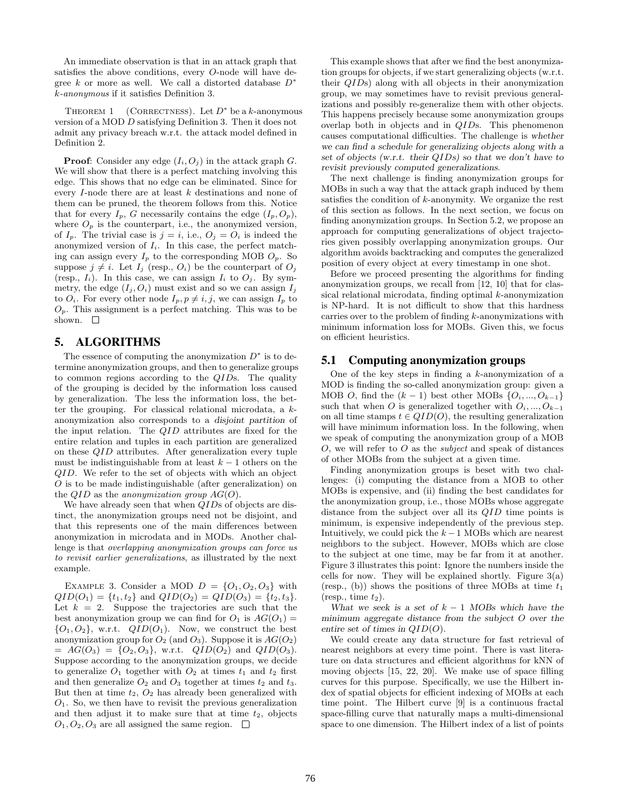An immediate observation is that in an attack graph that satisfies the above conditions, every O-node will have degree  $k$  or more as well. We call a distorted database  $D^*$ k-anonymous if it satisfies Definition 3.

THEOREM 1 (CORRECTNESS). Let  $D^*$  be a k-anonymous version of a MOD D satisfying Definition 3. Then it does not admit any privacy breach w.r.t. the attack model defined in Definition 2.

**Proof:** Consider any edge  $(I_i, O_j)$  in the attack graph G. We will show that there is a perfect matching involving this edge. This shows that no edge can be eliminated. Since for every I-node there are at least k destinations and none of them can be pruned, the theorem follows from this. Notice that for every  $I_p$ , G necessarily contains the edge  $(I_p, O_p)$ , where  $O_p$  is the counterpart, i.e., the anonymized version, of  $I_p$ . The trivial case is  $j = i$ , i.e.,  $O_j = O_i$  is indeed the anonymized version of  $I_i$ . In this case, the perfect matching can assign every  $I_p$  to the corresponding MOB  $O_p$ . So suppose  $j \neq i$ . Let  $I_j$  (resp.,  $O_i$ ) be the counterpart of  $O_j$ (resp.,  $I_i$ ). In this case, we can assign  $I_i$  to  $O_j$ . By symmetry, the edge  $(I_j, O_i)$  must exist and so we can assign  $I_j$ to  $O_i$ . For every other node  $I_p, p \neq i, j$ , we can assign  $I_p$  to  $O_p$ . This assignment is a perfect matching. This was to be shown.  $\square$ 

## **5. ALGORITHMS**

The essence of computing the anonymization  $D^*$  is to determine anonymization groups, and then to generalize groups to common regions according to the QIDs. The quality of the grouping is decided by the information loss caused by generalization. The less the information loss, the better the grouping. For classical relational microdata, a kanonymization also corresponds to a disjoint partition of the input relation. The QID attributes are fixed for the entire relation and tuples in each partition are generalized on these QID attributes. After generalization every tuple must be indistinguishable from at least  $k-1$  others on the QID. We refer to the set of objects with which an object O is to be made indistinguishable (after generalization) on the  $QID$  as the anonymization group  $AG(O)$ .

We have already seen that when QIDs of objects are distinct, the anonymization groups need not be disjoint, and that this represents one of the main differences between anonymization in microdata and in MODs. Another challenge is that overlapping anonymization groups can force us to revisit earlier generalizations, as illustrated by the next example.

EXAMPLE 3. Consider a MOD  $D = \{O_1, O_2, O_3\}$  with  $QID(O_1) = \{t_1, t_2\}$  and  $QID(O_2) = QID(O_3) = \{t_2, t_3\}.$ Let  $k = 2$ . Suppose the trajectories are such that the best anonymization group we can find for  $O_1$  is  $AG(O_1)$  =  ${O_1, O_2}$ , w.r.t.  $QID(O_1)$ . Now, we construct the best anonymization group for  $O_2$  (and  $O_3$ ). Suppose it is  $AG(O_2)$  $= AG(O_3) = \{O_2, O_3\}$ , w.r.t.  $QID(O_2)$  and  $QID(O_3)$ . Suppose according to the anonymization groups, we decide to generalize  $O_1$  together with  $O_2$  at times  $t_1$  and  $t_2$  first and then generalize  $O_2$  and  $O_3$  together at times  $t_2$  and  $t_3$ . But then at time  $t_2$ ,  $O_2$  has already been generalized with  $O<sub>1</sub>$ . So, we then have to revisit the previous generalization and then adjust it to make sure that at time  $t_2$ , objects  $O_1, O_2, O_3$  are all assigned the same region.  $\Box$ 

This example shows that after we find the best anonymization groups for objects, if we start generalizing objects (w.r.t. their QIDs) along with all objects in their anonymization group, we may sometimes have to revisit previous generalizations and possibly re-generalize them with other objects. This happens precisely because some anonymization groups overlap both in objects and in QIDs. This phenomenon causes computational difficulties. The challenge is whether we can find a schedule for generalizing objects along with a set of objects (w.r.t. their QIDs) so that we don't have to revisit previously computed generalizations.

The next challenge is finding anonymization groups for MOBs in such a way that the attack graph induced by them satisfies the condition of k-anonymity. We organize the rest of this section as follows. In the next section, we focus on finding anonymization groups. In Section 5.2, we propose an approach for computing generalizations of object trajectories given possibly overlapping anonymization groups. Our algorithm avoids backtracking and computes the generalized position of every object at every timestamp in one shot.

Before we proceed presenting the algorithms for finding anonymization groups, we recall from [12, 10] that for classical relational microdata, finding optimal k-anonymization is NP-hard. It is not difficult to show that this hardness carries over to the problem of finding  $k$ -anonymizations with minimum information loss for MOBs. Given this, we focus on efficient heuristics.

## **5.1 Computing anonymization groups**

One of the key steps in finding a  $k$ -anonymization of a MOD is finding the so-called anonymization group: given a MOB O, find the  $(k-1)$  best other MOBs  $\{O_i, ..., O_{k-1}\}\$ such that when O is generalized together with  $O_i, ..., O_{k-1}$ on all time stamps  $t \in QID(O)$ , the resulting generalization will have minimum information loss. In the following, when we speak of computing the anonymization group of a MOB O, we will refer to O as the *subject* and speak of distances of other MOBs from the subject at a given time.

Finding anonymization groups is beset with two challenges: (i) computing the distance from a MOB to other MOBs is expensive, and (ii) finding the best candidates for the anonymization group, i.e., those MOBs whose aggregate distance from the subject over all its QID time points is minimum, is expensive independently of the previous step. Intuitively, we could pick the  $k-1$  MOBs which are nearest neighbors to the subject. However, MOBs which are close to the subject at one time, may be far from it at another. Figure 3 illustrates this point: Ignore the numbers inside the cells for now. They will be explained shortly. Figure  $3(a)$ (resp., (b)) shows the positions of three MOBs at time  $t_1$ (resp., time  $t_2$ ).

What we seek is a set of  $k - 1$  MOBs which have the minimum aggregate distance from the subject O over the entire set of times in QID(O).

We could create any data structure for fast retrieval of nearest neighbors at every time point. There is vast literature on data structures and efficient algorithms for kNN of moving objects [15, 22, 20]. We make use of space filling curves for this purpose. Specifically, we use the Hilbert index of spatial objects for efficient indexing of MOBs at each time point. The Hilbert curve [9] is a continuous fractal space-filling curve that naturally maps a multi-dimensional space to one dimension. The Hilbert index of a list of points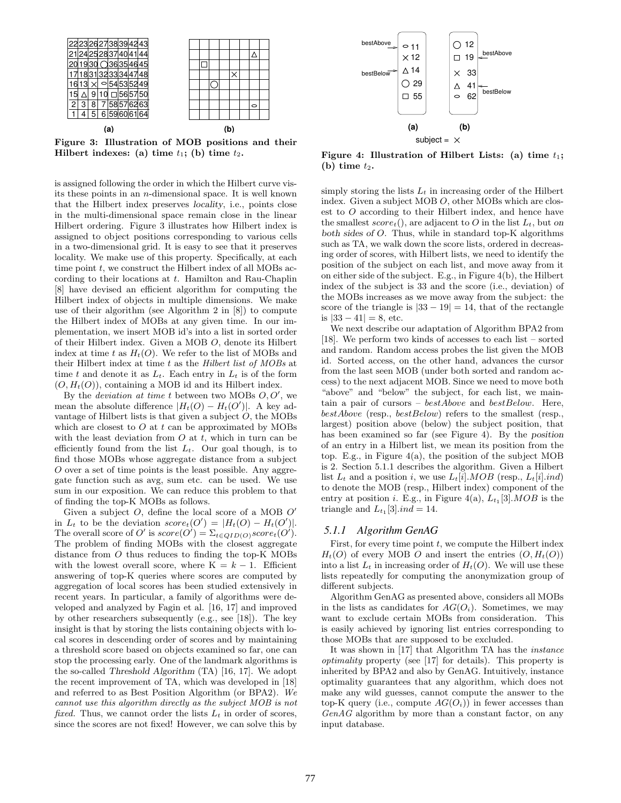

Figure 3: Illustration of MOB positions and their Hilbert indexes: (a) time  $t_1$ ; (b) time  $t_2$ .

is assigned following the order in which the Hilbert curve visits these points in an n-dimensional space. It is well known that the Hilbert index preserves locality, i.e., points close in the multi-dimensional space remain close in the linear Hilbert ordering. Figure 3 illustrates how Hilbert index is assigned to object positions corresponding to various cells in a two-dimensional grid. It is easy to see that it preserves locality. We make use of this property. Specifically, at each time point  $t$ , we construct the Hilbert index of all MOBs according to their locations at t. Hamilton and Rau-Chaplin [8] have devised an efficient algorithm for computing the Hilbert index of objects in multiple dimensions. We make use of their algorithm (see Algorithm 2 in [8]) to compute the Hilbert index of MOBs at any given time. In our implementation, we insert MOB id's into a list in sorted order of their Hilbert index. Given a MOB O, denote its Hilbert index at time t as  $H_t(O)$ . We refer to the list of MOBs and their Hilbert index at time  $t$  as the Hilbert list of MOBs at time t and denote it as  $L_t$ . Each entry in  $L_t$  is of the form  $(O, H_t(O))$ , containing a MOB id and its Hilbert index.

By the *deviation at time t* between two MOBs  $O, O'$ , we mean the absolute difference  $|H_t(O) - H_t(O')|$ . A key advantage of Hilbert lists is that given a subject  $O$ , the MOBs which are closest to  $O$  at  $t$  can be approximated by MOBs with the least deviation from  $O$  at  $t$ , which in turn can be efficiently found from the list  $L_t$ . Our goal though, is to find those MOBs whose aggregate distance from a subject O over a set of time points is the least possible. Any aggregate function such as avg, sum etc. can be used. We use sum in our exposition. We can reduce this problem to that of finding the top-K MOBs as follows.

Given a subject  $O$ , define the local score of a MOB  $O'$ in  $L_t$  to be the deviation  $score_t(O') = |H_t(O) - H_t(O')|$ . The overall score of O' is  $score(O') = \sum_{t \in QID(O)} score_t(O')$ . The problem of finding MOBs with the closest aggregate distance from O thus reduces to finding the top-K MOBs with the lowest overall score, where  $K = k - 1$ . Efficient answering of top-K queries where scores are computed by aggregation of local scores has been studied extensively in recent years. In particular, a family of algorithms were developed and analyzed by Fagin et al. [16, 17] and improved by other researchers subsequently (e.g., see [18]). The key insight is that by storing the lists containing objects with local scores in descending order of scores and by maintaining a threshold score based on objects examined so far, one can stop the processing early. One of the landmark algorithms is the so-called Threshold Algorithm (TA) [16, 17]. We adopt the recent improvement of TA, which was developed in [18] and referred to as Best Position Algorithm (or BPA2). We cannot use this algorithm directly as the subject MOB is not fixed. Thus, we cannot order the lists  $L_t$  in order of scores, since the scores are not fixed! However, we can solve this by



Figure 4: Illustration of Hilbert Lists: (a) time  $t_1$ ; (b) time  $t_2$ .

simply storing the lists  $L_t$  in increasing order of the Hilbert index. Given a subject MOB O, other MOBs which are closest to O according to their Hilbert index, and hence have the smallest  $score_t()$ , are adjacent to O in the list  $L_t$ , but on both sides of O. Thus, while in standard top-K algorithms such as TA, we walk down the score lists, ordered in decreasing order of scores, with Hilbert lists, we need to identify the position of the subject on each list, and move away from it on either side of the subject. E.g., in Figure 4(b), the Hilbert index of the subject is 33 and the score (i.e., deviation) of the MOBs increases as we move away from the subject: the score of the triangle is  $|33 - 19| = 14$ , that of the rectangle is  $|33 - 41| = 8$ , etc.

We next describe our adaptation of Algorithm BPA2 from [18]. We perform two kinds of accesses to each list – sorted and random. Random access probes the list given the MOB id. Sorted access, on the other hand, advances the cursor from the last seen MOB (under both sorted and random access) to the next adjacent MOB. Since we need to move both "above" and "below" the subject, for each list, we maintain a pair of cursors –  $bestAbove$  and  $bestBelow$ . Here, bestAbove (resp., bestBelow) refers to the smallest (resp., largest) position above (below) the subject position, that has been examined so far (see Figure 4). By the position of an entry in a Hilbert list, we mean its position from the top. E.g., in Figure 4(a), the position of the subject MOB is 2. Section 5.1.1 describes the algorithm. Given a Hilbert list  $L_t$  and a position i, we use  $L_t[i].MOB$  (resp.,  $L_t[i].ind$ ) to denote the MOB (resp., Hilbert index) component of the entry at position *i*. E.g., in Figure 4(a),  $L_{t_1}[3]$ . MOB is the triangle and  $L_{t_1}[3].ind = 14$ .

#### *5.1.1 Algorithm GenAG*

First, for every time point  $t$ , we compute the Hilbert index  $H_t(O)$  of every MOB O and insert the entries  $(O, H_t(O))$ into a list  $L_t$  in increasing order of  $H_t(O)$ . We will use these lists repeatedly for computing the anonymization group of different subjects.

Algorithm GenAG as presented above, considers all MOBs in the lists as candidates for  $AG(O_i)$ . Sometimes, we may want to exclude certain MOBs from consideration. This is easily achieved by ignoring list entries corresponding to those MOBs that are supposed to be excluded.

It was shown in [17] that Algorithm TA has the instance optimality property (see [17] for details). This property is inherited by BPA2 and also by GenAG. Intuitively, instance optimality guarantees that any algorithm, which does not make any wild guesses, cannot compute the answer to the top-K query (i.e., compute  $AG(O<sub>i</sub>)$ ) in fewer accesses than GenAG algorithm by more than a constant factor, on any input database.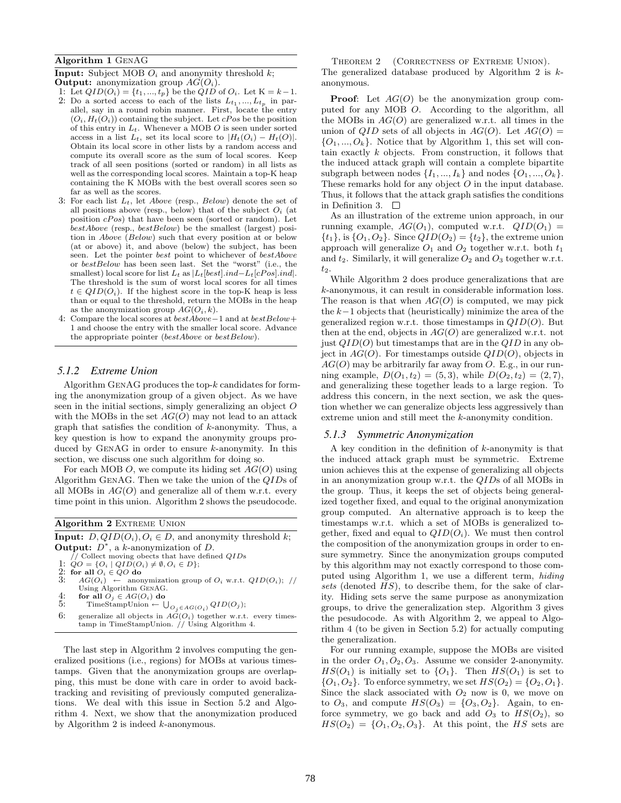#### Algorithm 1 GenAG

**Input:** Subject MOB  $O_i$  and anonymity threshold k; **Output:** anonymization group  $AG(O<sub>i</sub>)$ .

- 1: Let  $QID(O_i) = \{t_1, ..., t_p\}$  be the  $QID$  of  $O_i$ . Let  $K = k 1$ .
- 2: Do a sorted access to each of the lists  $L_{t_1},..., L_{t_p}$  in parallel, say in a round robin manner. First, locate the entry  $(O_i, H_t(O_i))$  containing the subject. Let  $cPos$  be the position of this entry in  $L_t$ . Whenever a MOB  $O$  is seen under sorted access in a list  $L_t$ , set its local score to  $|H_t(O_i) - H_t(O)|$ . Obtain its local score in other lists by a random access and compute its overall score as the sum of local scores. Keep track of all seen positions (sorted or random) in all lists as well as the corresponding local scores. Maintain a top-K heap containing the K MOBs with the best overall scores seen so far as well as the scores.
- 3: For each list  $L_t$ , let Above (resp., Below) denote the set of all positions above (resp., below) that of the subject  $O_i$  (at position cPos) that have been seen (sorted or random). Let  $bestAbove$  (resp.,  $bestBelow$ ) be the smallest (largest) position in Above (Below) such that every position at or below (at or above) it, and above (below) the subject, has been seen. Let the pointer best point to whichever of bestAbove or bestBelow has been seen last. Set the "worst" (i.e., the smallest) local score for list  $L_t$  as  $|L_t[best].ind-L_t[cPos].ind|.$ The threshold is the sum of worst local scores for all times  $t \in QID(O_i)$ . If the highest score in the top-K heap is less than or equal to the threshold, return the MOBs in the heap as the anonymization group  $AG(O_i, k)$ .
- 4: Compare the local scores at bestAbove−1 and at bestBelow+ 1 and choose the entry with the smaller local score. Advance the appropriate pointer (bestAbove or bestBelow).

#### *5.1.2 Extreme Union*

Algorithm GenAG produces the top-k candidates for forming the anonymization group of a given object. As we have seen in the initial sections, simply generalizing an object O with the MOBs in the set  $AG(O)$  may not lead to an attack graph that satisfies the condition of k-anonymity. Thus, a key question is how to expand the anonymity groups produced by GenAG in order to ensure k-anonymity. In this section, we discuss one such algorithm for doing so.

For each MOB O, we compute its hiding set  $AG(O)$  using Algorithm GenAG. Then we take the union of the QIDs of all MOBs in  $AG(O)$  and generalize all of them w.r.t. every time point in this union. Algorithm 2 shows the pseudocode.

|    | <b>Algorithm 2 EXTREME UNION</b>                                        |
|----|-------------------------------------------------------------------------|
|    | <b>Input:</b> $D, QID(O_i), O_i \in D$ , and anonymity threshold k;     |
|    | <b>Output:</b> $D^*$ , a k-anonymization of D.                          |
|    | // Collect moving obects that have defined $QIDs$                       |
|    | 1: $QO = \{O_i   QID(O_i) \neq \emptyset, O_i \in D\};$                 |
|    | 2: for all $O_i \in QO$ do                                              |
| 3. | $AG(O_i) \leftarrow$ anonymization group of $O_i$ w.r.t. $QID(O_i);$ // |
|    | Using Algorithm GENAG.                                                  |
| 4: | for all $O_i \in AG(O_i)$ do                                            |
| 5: | TimeStampUnion $\leftarrow \bigcup_{O_i \in AG(O_i)} QID(O_j);$         |
| 6: | generalize all objects in $AG(O_i)$ together w.r.t. every times-        |
|    | tamp in TimeStampUnion. // Using Algorithm 4.                           |

The last step in Algorithm 2 involves computing the generalized positions (i.e., regions) for MOBs at various timestamps. Given that the anonymization groups are overlapping, this must be done with care in order to avoid backtracking and revisiting of previously computed generalizations. We deal with this issue in Section 5.2 and Algorithm 4. Next, we show that the anonymization produced by Algorithm 2 is indeed k-anonymous.

THEOREM 2 (CORRECTNESS OF EXTREME UNION). The generalized database produced by Algorithm 2 is kanonymous.

**Proof:** Let  $AG(O)$  be the anonymization group computed for any MOB O. According to the algorithm, all the MOBs in  $AG(O)$  are generalized w.r.t. all times in the union of QID sets of all objects in  $AG(O)$ . Let  $AG(O)$  =  $\{O_1, ..., O_k\}$ . Notice that by Algorithm 1, this set will contain exactly k objects. From construction, it follows that the induced attack graph will contain a complete bipartite subgraph between nodes  $\{I_1, ..., I_k\}$  and nodes  $\{O_1, ..., O_k\}$ . These remarks hold for any object  $O$  in the input database. Thus, it follows that the attack graph satisfies the conditions in Definition 3.  $\Box$ 

As an illustration of the extreme union approach, in our running example,  $AG(O_1)$ , computed w.r.t.  $QID(O_1)$  =  $\{t_1\}$ , is  $\{O_1, O_2\}$ . Since  $QID(O_2) = \{t_2\}$ , the extreme union approach will generalize  $O_1$  and  $O_2$  together w.r.t. both  $t_1$ and  $t_2$ . Similarly, it will generalize  $O_2$  and  $O_3$  together w.r.t.  $t_2$ 

While Algorithm 2 does produce generalizations that are k-anonymous, it can result in considerable information loss. The reason is that when  $AG(O)$  is computed, we may pick the k−1 objects that (heuristically) minimize the area of the generalized region w.r.t. those timestamps in  $QID(O)$ . But then at the end, objects in  $AG(O)$  are generalized w.r.t. not just  $QID(O)$  but timestamps that are in the  $QID$  in any object in  $AG(O)$ . For timestamps outside  $QID(O)$ , objects in  $AG(O)$  may be arbitrarily far away from O. E.g., in our running example,  $D(O_1, t_2) = (5, 3)$ , while  $D(O_2, t_2) = (2, 7)$ , and generalizing these together leads to a large region. To address this concern, in the next section, we ask the question whether we can generalize objects less aggressively than extreme union and still meet the k-anonymity condition.

#### *5.1.3 Symmetric Anonymization*

A key condition in the definition of  $k$ -anonymity is that the induced attack graph must be symmetric. Extreme union achieves this at the expense of generalizing all objects in an anonymization group w.r.t. the QIDs of all MOBs in the group. Thus, it keeps the set of objects being generalized together fixed, and equal to the original anonymization group computed. An alternative approach is to keep the timestamps w.r.t. which a set of MOBs is generalized together, fixed and equal to  $QID(O_i)$ . We must then control the composition of the anonymization groups in order to ensure symmetry. Since the anonymization groups computed by this algorithm may not exactly correspond to those computed using Algorithm 1, we use a different term, hiding sets (denoted  $HS$ ), to describe them, for the sake of clarity. Hiding sets serve the same purpose as anonymization groups, to drive the generalization step. Algorithm 3 gives the pesudocode. As with Algorithm 2, we appeal to Algorithm 4 (to be given in Section 5.2) for actually computing the generalization.

For our running example, suppose the MOBs are visited in the order  $O_1, O_2, O_3$ . Assume we consider 2-anonymity.  $HS(O_1)$  is initially set to  ${O_1}$ . Then  $HS(O_1)$  is set to  $\{O_1, O_2\}$ . To enforce symmetry, we set  $HS(O_2) = \{O_2, O_1\}$ . Since the slack associated with  $O_2$  now is 0, we move on to  $O_3$ , and compute  $HS(O_3) = \{O_3, O_2\}$ . Again, to enforce symmetry, we go back and add  $O_3$  to  $HS(O_2)$ , so  $HS(O_2) = \{O_1, O_2, O_3\}.$  At this point, the HS sets are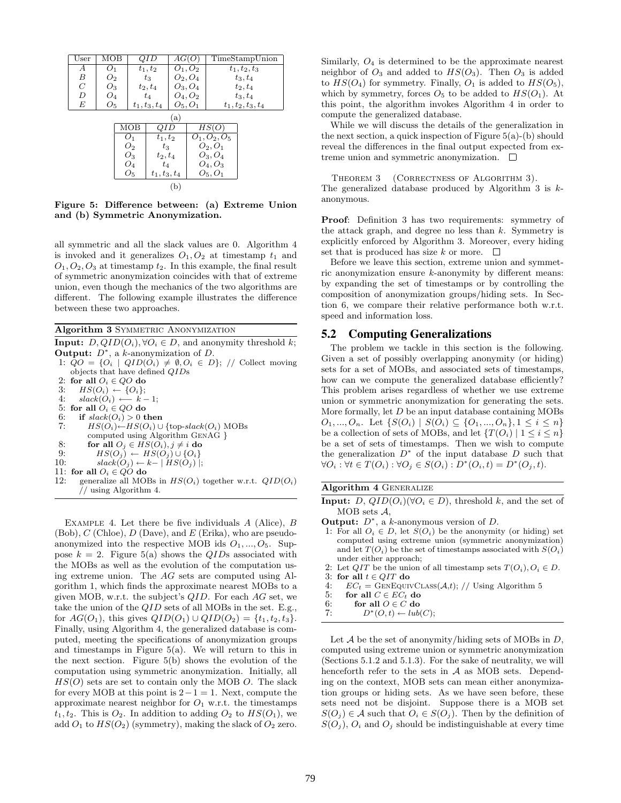| User             | мов            |       |                | JI D            | AG(U) |            |                 | TimeStampUnion       |
|------------------|----------------|-------|----------------|-----------------|-------|------------|-----------------|----------------------|
| А                | O <sub>1</sub> |       |                | $t_1, t_2$      |       | $O_1, O_2$ |                 | $t_1, t_2, t_3$      |
| $\boldsymbol{B}$ | $O_{2}$        |       |                | $t_3$           |       | $O_2, O_4$ |                 | $t_3, t_4$           |
| $\boldsymbol{C}$ | $O_3$          |       |                | $t_2,t_4$       |       | $O_3, O_4$ |                 | $t_2, t_4$           |
| D                | $O_4$          |       |                | $t_4$           |       | $O_4, O_2$ |                 | $t_3, t_4$           |
| E                | $O_5$          |       |                | $t_1, t_3, t_4$ |       | $O_5, O_1$ |                 | $t_1, t_2, t_3, t_4$ |
|                  | (a)            |       |                |                 |       |            |                 |                      |
|                  |                |       | мов            | QID             |       |            | $_{HS(C}$       |                      |
|                  |                |       | O <sub>1</sub> | $t_1,t_2$       |       |            | $O_1, O_2, O_5$ |                      |
|                  |                |       | O <sub>2</sub> | $t_3$           |       |            | $O_2, O_1$      |                      |
|                  |                | $O_3$ |                | $t_2,t_4$       |       | $O_3, O_4$ |                 |                      |
|                  |                |       | Ο4             | $t_4$           |       |            | $O_4, O_3$      |                      |
|                  |                |       | $O_5$          | $t_1, t_3, t_4$ |       |            | $O_5, O_1$      |                      |
|                  |                |       |                |                 | (b    |            |                 |                      |

Figure 5: Difference between: (a) Extreme Union and (b) Symmetric Anonymization.

all symmetric and all the slack values are 0. Algorithm 4 is invoked and it generalizes  $O_1, O_2$  at timestamp  $t_1$  and  $O_1, O_2, O_3$  at timestamp  $t_2$ . In this example, the final result of symmetric anonymization coincides with that of extreme union, even though the mechanics of the two algorithms are different. The following example illustrates the difference between these two approaches.

Algorithm 3 SYMMETRIC ANONYMIZATION

**Input:**  $D, QID(O_i), \forall O_i \in D$ , and anonymity threshold k; Output:  $D^*$ , a k-anonymization of  $D$ . 1:  $QO = \{O_i \mid QID(O_i) \neq \emptyset, O_i \in D\};$  // Collect moving objects that have defined QIDs 2: for all  $O_i \in QO$  do<br>3:  $HS(O_i) \leftarrow \{O_i\}$ : 3:  $HS(O_i) \leftarrow \{O_i\};$ 4:  $slack(O_i) \longleftarrow k-1;$ 5: for all  $O_i \in QO$  do<br>6: if  $slack(O_i) > 0$  t 6: if  $slack(O_i) > 0$  then<br>7:  $HS(O_i) \leftarrow HS(O_i) \cup$  $HS(O_i) \leftarrow HS(O_i) \cup \{top\}$ slack $(O_i)$  MOBs computed using Algorithm GenAG } 8: for all  $O_j \in HS(O_i), j \neq i$  do 9:  $HS(O_j) \leftarrow HS(O_j) \cup \{O_i\}$ 10:  $slack(O_j) \leftarrow k-|HS(O_j)|;$ 11: for all  $O_i \in QO$  do 12: generalize all MOBs in  $HS(O_i)$  together w.r.t.  $QID(O_i)$ // using Algorithm 4.

EXAMPLE 4. Let there be five individuals  $A$  (Alice),  $B$ (Bob),  $C$  (Chloe),  $D$  (Dave), and  $E$  (Erika), who are pseudoanonymized into the respective MOB ids  $O_1, ..., O_5$ . Suppose  $k = 2$ . Figure 5(a) shows the QIDs associated with the MOBs as well as the evolution of the computation using extreme union. The AG sets are computed using Algorithm 1, which finds the approximate nearest MOBs to a given MOB, w.r.t. the subject's  $QID$ . For each  $AG$  set, we take the union of the QID sets of all MOBs in the set. E.g., for  $AG(O_1)$ , this gives  $QID(O_1) \cup QID(O_2) = \{t_1, t_2, t_3\}.$ Finally, using Algorithm 4, the generalized database is computed, meeting the specifications of anonymization groups and timestamps in Figure 5(a). We will return to this in the next section. Figure 5(b) shows the evolution of the computation using symmetric anonymization. Initially, all  $HS(O)$  sets are set to contain only the MOB O. The slack for every MOB at this point is  $2-1=1$ . Next, compute the approximate nearest neighbor for  $O_1$  w.r.t. the timestamps  $t_1, t_2$ . This is  $O_2$ . In addition to adding  $O_2$  to  $HS(O_1)$ , we add  $O_1$  to  $HS(O_2)$  (symmetry), making the slack of  $O_2$  zero.

Similarly,  $O_4$  is determined to be the approximate nearest neighbor of  $O_3$  and added to  $HS(O_3)$ . Then  $O_3$  is added to  $HS(O_4)$  for symmetry. Finally,  $O_1$  is added to  $HS(O_5)$ , which by symmetry, forces  $O_5$  to be added to  $HS(O_1)$ . At this point, the algorithm invokes Algorithm 4 in order to compute the generalized database.

While we will discuss the details of the generalization in the next section, a quick inspection of Figure  $5(a)$ -(b) should reveal the differences in the final output expected from extreme union and symmetric anonymization.  $\Box$ 

THEOREM 3 (CORRECTNESS OF ALGORITHM 3). The generalized database produced by Algorithm 3 is kanonymous.

Proof: Definition 3 has two requirements: symmetry of the attack graph, and degree no less than  $k$ . Symmetry is explicitly enforced by Algorithm 3. Moreover, every hiding set that is produced has size k or more.  $\Box$ 

Before we leave this section, extreme union and symmetric anonymization ensure k-anonymity by different means: by expanding the set of timestamps or by controlling the composition of anonymization groups/hiding sets. In Section 6, we compare their relative performance both w.r.t. speed and information loss.

#### **5.2 Computing Generalizations**

The problem we tackle in this section is the following. Given a set of possibly overlapping anonymity (or hiding) sets for a set of MOBs, and associated sets of timestamps, how can we compute the generalized database efficiently? This problem arises regardless of whether we use extreme union or symmetric anonymization for generating the sets. More formally, let  $D$  be an input database containing MOBs  $O_1, ..., O_n$ . Let  $\{S(O_i) \mid S(O_i) \subseteq \{O_1, ..., O_n\}, 1 \leq i \leq n\}$ be a collection of sets of MOBs, and let  $\{T(O_i) \mid 1 \leq i \leq n\}$ be a set of sets of timestamps. Then we wish to compute the generalization  $D^*$  of the input database  $D$  such that  $\forall O_i : \forall t \in T(O_i) : \forall O_j \in S(O_i) : D^*(O_i, t) = D^*(O_j, t).$ 

#### Algorithm 4 GENERALIZE

- **Input:**  $D$ ,  $QID(O_i)(\forall O_i \in D)$ , threshold k, and the set of  $MOB$  sets  $A$ ,
- **Output:**  $D^*$ , a k-anonymous version of  $D$ .
- 1: For all  $O_i \in D$ , let  $S(O_i)$  be the anonymity (or hiding) set computed using extreme union (symmetric anonymization) and let  $T(O_i)$  be the set of timestamps associated with  $S(O_i)$ under either approach;
- 2: Let  $QIT$  be the union of all timestamp sets  $T(O_i)$ ,  $O_i \in D$ .
- 3: for all  $t \in QIT$  do<br>4:  $EC_t =$  GENEQUIN
- 4:  $EC_t = \text{GENEQUIVCLASS}(\mathcal{A}, t); // Using Algorithm 5$ <br>5: for all  $C \in EC_t$  do
- 5: for all  $C \in EC_t$  do<br>6: for all  $O \in C$  do
- for all  $O \in C$  do

7: 
$$
D^*(O,t) \leftarrow lub(C);
$$

Let  $A$  be the set of anonymity/hiding sets of MOBs in  $D$ , computed using extreme union or symmetric anonymization (Sections 5.1.2 and 5.1.3). For the sake of neutrality, we will henceforth refer to the sets in  $A$  as MOB sets. Depending on the context, MOB sets can mean either anonymization groups or hiding sets. As we have seen before, these sets need not be disjoint. Suppose there is a MOB set  $S(O_i) \in \mathcal{A}$  such that  $O_i \in S(O_j)$ . Then by the definition of  $S(O_j)$ ,  $O_i$  and  $O_j$  should be indistinguishable at every time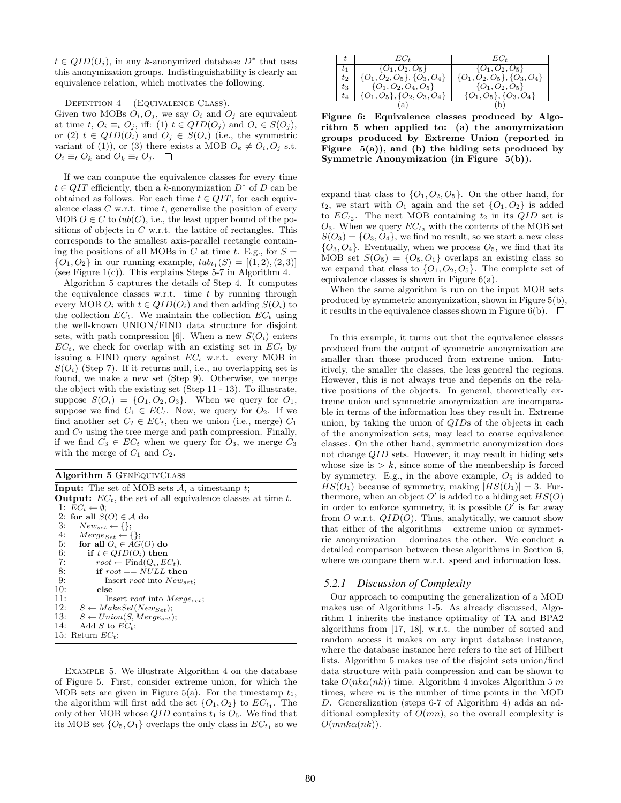$t \in QID(O<sub>j</sub>)$ , in any k-anonymized database  $D^*$  that uses this anonymization groups. Indistinguishability is clearly an equivalence relation, which motivates the following.

DEFINITION 4 (EQUIVALENCE CLASS).

Given two MOBs  $O_i$ ,  $O_j$ , we say  $O_i$  and  $O_j$  are equivalent at time t,  $O_i \equiv_t O_i$ , iff: (1)  $t \in QID(O_i)$  and  $O_i \in S(O_i)$ , or (2)  $t \in QID(O_i)$  and  $O_j \in S(O_i)$  (i.e., the symmetric variant of (1)), or (3) there exists a MOB  $O_k \neq O_i, O_j$  s.t.  $O_i \equiv_t O_k$  and  $O_k \equiv_t O_j$ .  $\Box$ 

If we can compute the equivalence classes for every time  $t \in QIT$  efficiently, then a k-anonymization  $D^*$  of D can be obtained as follows. For each time  $t \in QIT$ , for each equivalence class  $C$  w.r.t. time  $t$ , generalize the position of every MOB  $O \in \mathbb{C}$  to  $lub(\mathbb{C})$ , i.e., the least upper bound of the positions of objects in  $C$  w.r.t. the lattice of rectangles. This corresponds to the smallest axis-parallel rectangle containing the positions of all MOBs in C at time t. E.g., for  $S =$  $\{O_1, O_2\}$  in our running example,  $lub_{t_1}(S) = [(1, 2), (2, 3)]$ (see Figure  $1(c)$ ). This explains Steps 5-7 in Algorithm 4.

Algorithm 5 captures the details of Step 4. It computes the equivalence classes w.r.t. time  $t$  by running through every MOB  $O_i$  with  $t \in QID(O_i)$  and then adding  $S(O_i)$  to the collection  $EC_t$ . We maintain the collection  $EC_t$  using the well-known UNION/FIND data structure for disjoint sets, with path compression [6]. When a new  $S(O_i)$  enters  $EC_t$ , we check for overlap with an existing set in  $EC_t$  by issuing a FIND query against  $EC_t$  w.r.t. every MOB in  $S(O_i)$  (Step 7). If it returns null, i.e., no overlapping set is found, we make a new set (Step 9). Otherwise, we merge the object with the existing set (Step 11 - 13). To illustrate, suppose  $S(O_i) = \{O_1, O_2, O_3\}$ . When we query for  $O_1$ , suppose we find  $C_1 \in EC_t$ . Now, we query for  $O_2$ . If we find another set  $C_2 \in EC_t$ , then we union (i.e., merge)  $C_1$ and  $C_2$  using the tree merge and path compression. Finally, if we find  $C_3 \in EC_t$  when we query for  $O_3$ , we merge  $C_3$ with the merge of  $C_1$  and  $C_2$ .

|  |  | Algorithm 5 GENEQUIVCLASS |
|--|--|---------------------------|
|--|--|---------------------------|

|     | <b>Input:</b> The set of MOB sets $A$ , a timestamp t;                |
|-----|-----------------------------------------------------------------------|
|     | <b>Output:</b> $EC_t$ , the set of all equivalence classes at time t. |
|     | 1: $EC_t \leftarrow \emptyset$ :                                      |
|     | 2: for all $S(O) \in \mathcal{A}$ do                                  |
| 3:  | $New_{set} \leftarrow \{\};$                                          |
|     | 4: $Merge_{Set} \leftarrow \{\};$                                     |
| 5:  | for all $O_i \in AG(O)$ do                                            |
| 6:  | if $t \in QID(O_i)$ then                                              |
| 7:  | $root \leftarrow Find(Q_i, EC_t).$                                    |
| 8:  | if $root == NULL$ then                                                |
| 9:  | Insert <i>root</i> into $New_{set}$ ;                                 |
| 10: | else                                                                  |
| 11: | Insert <i>root</i> into $Merge_{set}$ ;                               |
| 12: | $S \leftarrow MakeSet(New_{Set});$                                    |
| 13: | $S \leftarrow Union(S, Merge_{set});$                                 |
| 14: | Add S to $EC_t$ :                                                     |
|     | 15: Return $EC_t$ ;                                                   |

Example 5. We illustrate Algorithm 4 on the database of Figure 5. First, consider extreme union, for which the MOB sets are given in Figure 5(a). For the timestamp  $t_1$ , the algorithm will first add the set  $\{O_1, O_2\}$  to  $EC_{t_1}$ . The only other MOB whose  $QID$  contains  $t_1$  is  $O_5$ . We find that its MOB set  $\{O_5, O_1\}$  overlaps the only class in  $EC_{t_1}$  so we

|         | EC+                               | EC.                               |
|---------|-----------------------------------|-----------------------------------|
| $t_{1}$ | $\{O_1, O_2, O_5\}$               | $\{O_1, O_2, O_5\}$               |
| $t_2$   | $\{O_1,O_2,O_5\}, \{O_3,O_4\}$    | $\{O_1, O_2, O_5\}, \{O_3, O_4\}$ |
| $t_3$   | $\{O_1, O_2, O_4, O_5\}$          | $\{O_1, O_2, O_5\}$               |
| $t_{4}$ | $\{O_1, O_5\}, \{O_2, O_3, O_4\}$ | $\{O_1, O_5\}, \{O_3, O_4\}$      |
|         | a                                 |                                   |

Figure 6: Equivalence classes produced by Algorithm 5 when applied to: (a) the anonymization groups produced by Extreme Union (reported in Figure  $5(a)$ , and (b) the hiding sets produced by Symmetric Anonymization (in Figure 5(b)).

expand that class to  $\{O_1, O_2, O_5\}$ . On the other hand, for  $t_2$ , we start with  $O_1$  again and the set  $\{O_1, O_2\}$  is added to  $EC_{t_2}$ . The next MOB containing  $t_2$  in its  $QID$  set is  $O_3$ . When we query  $EC_{t_2}$  with the contents of the MOB set  $S(O_3) = \{O_3, O_4\}$ , we find no result, so we start a new class  ${O_3, O_4}$ . Eventually, when we process  $O_5$ , we find that its MOB set  $S(O_5) = \{O_5, O_1\}$  overlaps an existing class so we expand that class to  $\{O_1, O_2, O_5\}$ . The complete set of equivalence classes is shown in Figure 6(a).

When the same algorithm is run on the input MOB sets produced by symmetric anonymization, shown in Figure 5(b), it results in the equivalence classes shown in Figure 6(b).  $\Box$ 

In this example, it turns out that the equivalence classes produced from the output of symmetric anonymization are smaller than those produced from extreme union. Intuitively, the smaller the classes, the less general the regions. However, this is not always true and depends on the relative positions of the objects. In general, theoretically extreme union and symmetric anonymization are incomparable in terms of the information loss they result in. Extreme union, by taking the union of QIDs of the objects in each of the anonymization sets, may lead to coarse equivalence classes. On the other hand, symmetric anonymization does not change QID sets. However, it may result in hiding sets whose size is  $> k$ , since some of the membership is forced by symmetry. E.g., in the above example,  $O_5$  is added to  $HS(O_1)$  because of symmetry, making  $|HS(O_1)| = 3$ . Furthermore, when an object  $O'$  is added to a hiding set  $HS(O)$ in order to enforce symmetry, it is possible  $O'$  is far away from O w.r.t.  $QID(O)$ . Thus, analytically, we cannot show that either of the algorithms – extreme union or symmetric anonymization – dominates the other. We conduct a detailed comparison between these algorithms in Section 6, where we compare them w.r.t. speed and information loss.

#### *5.2.1 Discussion of Complexity*

Our approach to computing the generalization of a MOD makes use of Algorithms 1-5. As already discussed, Algorithm 1 inherits the instance optimality of TA and BPA2 algorithms from [17, 18], w.r.t. the number of sorted and random access it makes on any input database instance, where the database instance here refers to the set of Hilbert lists. Algorithm 5 makes use of the disjoint sets union/find data structure with path compression and can be shown to take  $O(nk\alpha(nk))$  time. Algorithm 4 invokes Algorithm 5 m times, where  $m$  is the number of time points in the MOD D. Generalization (steps 6-7 of Algorithm 4) adds an additional complexity of  $O(mn)$ , so the overall complexity is  $O(mnk\alpha(nk)).$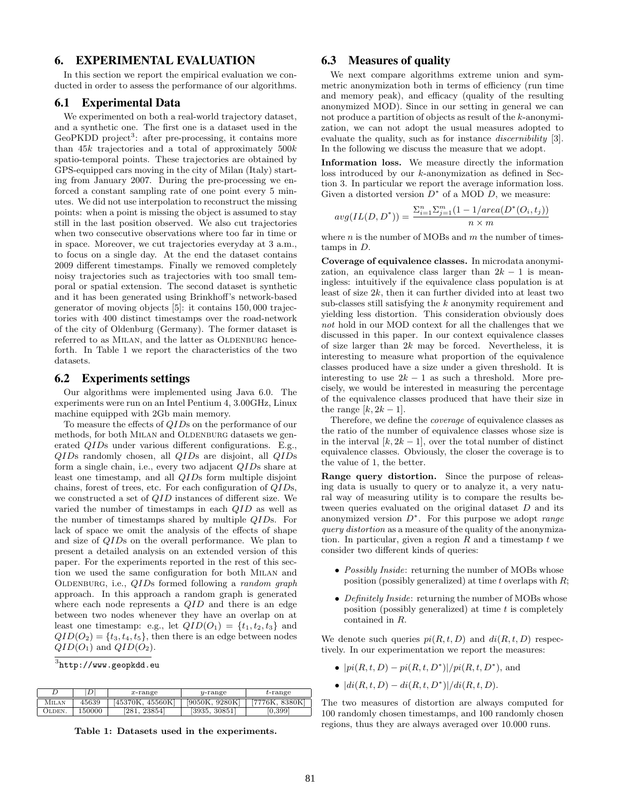# **6. EXPERIMENTAL EVALUATION**

In this section we report the empirical evaluation we conducted in order to assess the performance of our algorithms.

#### **6.1 Experimental Data**

We experimented on both a real-world trajectory dataset, and a synthetic one. The first one is a dataset used in the GeoPKDD project<sup>3</sup>: after pre-processing, it contains more than  $45k$  trajectories and a total of approximately  $500k$ spatio-temporal points. These trajectories are obtained by GPS-equipped cars moving in the city of Milan (Italy) starting from January 2007. During the pre-processing we enforced a constant sampling rate of one point every 5 minutes. We did not use interpolation to reconstruct the missing points: when a point is missing the object is assumed to stay still in the last position observed. We also cut trajectories when two consecutive observations where too far in time or in space. Moreover, we cut trajectories everyday at 3 a.m., to focus on a single day. At the end the dataset contains 2009 different timestamps. Finally we removed completely noisy trajectories such as trajectories with too small temporal or spatial extension. The second dataset is synthetic and it has been generated using Brinkhoff's network-based generator of moving objects [5]: it contains 150, 000 trajectories with 400 distinct timestamps over the road-network of the city of Oldenburg (Germany). The former dataset is referred to as MILAN, and the latter as OLDENBURG henceforth. In Table 1 we report the characteristics of the two datasets.

#### **6.2 Experiments settings**

Our algorithms were implemented using Java 6.0. The experiments were run on an Intel Pentium 4, 3.00GHz, Linux machine equipped with 2Gb main memory.

To measure the effects of QIDs on the performance of our methods, for both MILAN and OLDENBURG datasets we generated QIDs under various different configurations. E.g., QIDs randomly chosen, all QIDs are disjoint, all QIDs form a single chain, i.e., every two adjacent QIDs share at least one timestamp, and all QIDs form multiple disjoint chains, forest of trees, etc. For each configuration of QIDs, we constructed a set of QID instances of different size. We varied the number of timestamps in each QID as well as the number of timestamps shared by multiple QIDs. For lack of space we omit the analysis of the effects of shape and size of QIDs on the overall performance. We plan to present a detailed analysis on an extended version of this paper. For the experiments reported in the rest of this section we used the same configuration for both Milan and OLDENBURG, i.e.,  $QIDs$  formed following a *random graph* approach. In this approach a random graph is generated where each node represents a QID and there is an edge between two nodes whenever they have an overlap on at least one timestamp: e.g., let  $QID(O_1) = \{t_1, t_2, t_3\}$  and  $QID(O<sub>2</sub>) = {t<sub>3</sub>, t<sub>4</sub>, t<sub>5</sub>},$  then there is an edge between nodes  $QID(O_1)$  and  $QID(O_2)$ .

 $^3$ http://www.geopkdd.eu

|        | D.     | $x$ -range       | $v$ -range     | $t$ -range          |
|--------|--------|------------------|----------------|---------------------|
| Milan  | 45639  | [45370K. 45560K] | [9050K, 9280K] | [7776K, 8380K]      |
| OLDEN. | 150000 | 23854<br>'281.   | [3935, 30851]  | $\vert 0.399 \vert$ |

Table 1: Datasets used in the experiments.

# **6.3 Measures of quality**

We next compare algorithms extreme union and symmetric anonymization both in terms of efficiency (run time and memory peak), and efficacy (quality of the resulting anonymized MOD). Since in our setting in general we can not produce a partition of objects as result of the k-anonymization, we can not adopt the usual measures adopted to evaluate the quality, such as for instance *discernibility* [3]. In the following we discuss the measure that we adopt.

Information loss. We measure directly the information loss introduced by our k-anonymization as defined in Section 3. In particular we report the average information loss. Given a distorted version  $D^*$  of a MOD  $D$ , we measure:

$$
avg(IL(D, D^*)) = \frac{\sum_{i=1}^{n} \sum_{j=1}^{m} (1 - 1/area(D^*(O_i, t_j)))}{n \times m}
$$

where *n* is the number of MOBs and  $m$  the number of timestamps in D.

Coverage of equivalence classes. In microdata anonymization, an equivalence class larger than  $2k - 1$  is meaningless: intuitively if the equivalence class population is at least of size 2k, then it can further divided into at least two sub-classes still satisfying the k anonymity requirement and yielding less distortion. This consideration obviously does not hold in our MOD context for all the challenges that we discussed in this paper. In our context equivalence classes of size larger than  $2k$  may be forced. Nevertheless, it is interesting to measure what proportion of the equivalence classes produced have a size under a given threshold. It is interesting to use  $2k - 1$  as such a threshold. More precisely, we would be interested in measuring the percentage of the equivalence classes produced that have their size in the range  $[k, 2k-1]$ .

Therefore, we define the coverage of equivalence classes as the ratio of the number of equivalence classes whose size is in the interval  $[k, 2k-1]$ , over the total number of distinct equivalence classes. Obviously, the closer the coverage is to the value of 1, the better.

Range query distortion. Since the purpose of releasing data is usually to query or to analyze it, a very natural way of measuring utility is to compare the results between queries evaluated on the original dataset D and its anonymized version  $D^*$ . For this purpose we adopt *range* query distortion as a measure of the quality of the anonymization. In particular, given a region  $R$  and a timestamp  $t$  we consider two different kinds of queries:

- *Possibly Inside*: returning the number of MOBs whose position (possibly generalized) at time t overlaps with  $R$ ;
- Definitely Inside: returning the number of MOBs whose position (possibly generalized) at time  $t$  is completely contained in R.

We denote such queries  $pi(R, t, D)$  and  $di(R, t, D)$  respectively. In our experimentation we report the measures:

- $|pi(R, t, D) pi(R, t, D^*)|/pi(R, t, D^*)$ , and
- $|di(R, t, D) di(R, t, D^*)|/di(R, t, D).$

The two measures of distortion are always computed for 100 randomly chosen timestamps, and 100 randomly chosen regions, thus they are always averaged over 10.000 runs.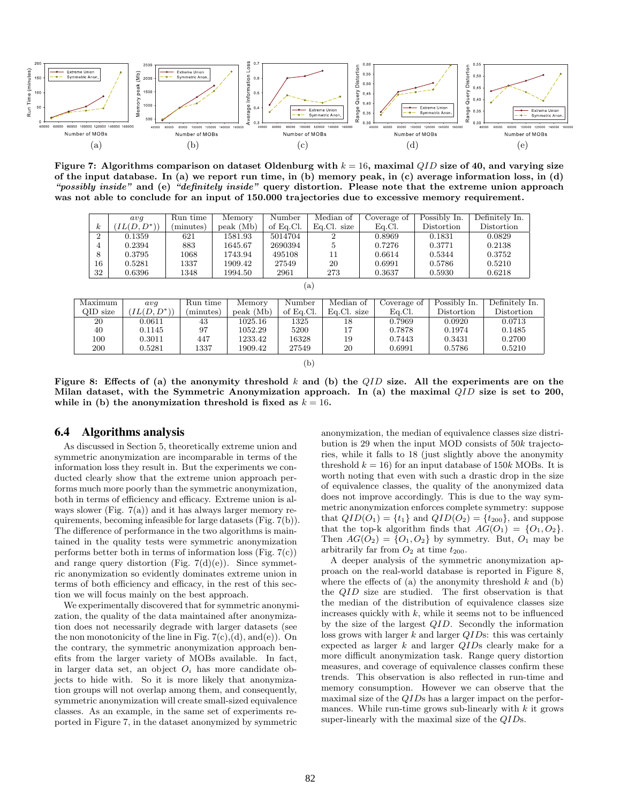

Figure 7: Algorithms comparison on dataset Oldenburg with  $k = 16$ , maximal QID size of 40, and varying size of the input database. In (a) we report run time, in (b) memory peak, in (c) average information loss, in (d) "possibly inside" and (e) "definitely inside" query distortion. Please note that the extreme union approach was not able to conclude for an input of 150.000 trajectories due to excessive memory requirement.

|                | avq                 | Run time | Memory    | Number    | Median of   | Coverage of | Possibly In. | Definitely In.        |  |  |
|----------------|---------------------|----------|-----------|-----------|-------------|-------------|--------------|-----------------------|--|--|
| $\kappa$       | $LL(D, D^*)$        | minutes) | peak (Mb) | of Eq.Cl. | Eq.Cl. size | Eq.Cl.      | Distortion   | $\mathrm{Distortion}$ |  |  |
| $\overline{2}$ | 0.1359              | 621      | 1581.93   | 5014704   |             | 0.8969      | 0.1831       | 0.0829                |  |  |
| 4              | 0.2394              | 883      | 1645.67   | 2690394   | 5           | 0.7276      | 0.3771       | 0.2138                |  |  |
| 8              | 0.3795              | 1068     | 1743.94   | 495108    | 11          | 0.6614      | 0.5344       | 0.3752                |  |  |
| 16             | 0.5281              | 1337     | 1909.42   | 27549     | 20          | 0.6991      | 0.5786       | 0.5210                |  |  |
| 32             | 0.6396              | 1348     | 1994.50   | 2961      | 273         | 0.3637      | 0.5930       | 0.6218                |  |  |
|                | $\lbrack a \rbrack$ |          |           |           |             |             |              |                       |  |  |

| Median of<br>Possibly In.<br>Maximum<br>Run time<br>Number<br>Coverage of<br>Memory<br>avq |          |              |           |           |           |             |        |            |                |
|--------------------------------------------------------------------------------------------|----------|--------------|-----------|-----------|-----------|-------------|--------|------------|----------------|
|                                                                                            |          |              |           |           |           |             |        |            | Definitely In. |
|                                                                                            | QID size | $IL(D, D^*)$ | (minutes) | peak (Mb) | of Eq.Cl. | Eq.Cl. size | Ea.Cl. | Distortion | Distortion     |
| 20<br>1325<br>0.7969<br>0.0713<br>1025.16<br>0.0920<br>0.0611<br>43<br>18                  |          |              |           |           |           |             |        |            |                |
| 0.1485<br>97<br>5200<br>17<br>40<br>1052.29<br>0.7878<br>0.1974<br>0.1145                  |          |              |           |           |           |             |        |            |                |
| 100<br>447<br>16328<br>19<br>0.2700<br>1233.42<br>0.3011<br>0.3431<br>0.7443               |          |              |           |           |           |             |        |            |                |
| 200<br>1337<br>20<br>0.5281<br>0.5210<br>1909.42<br>27549<br>0.6991<br>0.5786              |          |              |           |           |           |             |        |            |                |

Figure 8: Effects of (a) the anonymity threshold k and (b) the  $QID$  size. All the experiments are on the Milan dataset, with the Symmetric Anonymization approach. In (a) the maximal  $QID$  size is set to 200, while in (b) the anonymization threshold is fixed as  $k = 16$ .

(b)

#### **6.4 Algorithms analysis**

As discussed in Section 5, theoretically extreme union and symmetric anonymization are incomparable in terms of the information loss they result in. But the experiments we conducted clearly show that the extreme union approach performs much more poorly than the symmetric anonymization, both in terms of efficiency and efficacy. Extreme union is always slower (Fig.  $7(a)$ ) and it has always larger memory requirements, becoming infeasible for large datasets (Fig. 7(b)). The difference of performance in the two algorithms is maintained in the quality tests were symmetric anonymization performs better both in terms of information loss (Fig. 7(c)) and range query distortion (Fig.  $7(d)(e)$ ). Since symmetric anonymization so evidently dominates extreme union in terms of both efficiency and efficacy, in the rest of this section we will focus mainly on the best approach.

We experimentally discovered that for symmetric anonymization, the quality of the data maintained after anonymization does not necessarily degrade with larger datasets (see the non monotonicity of the line in Fig.  $7(c)$ , (d), and (e)). On the contrary, the symmetric anonymization approach benefits from the larger variety of MOBs available. In fact, in larger data set, an object  $O_i$  has more candidate objects to hide with. So it is more likely that anonymization groups will not overlap among them, and consequently, symmetric anonymization will create small-sized equivalence classes. As an example, in the same set of experiments reported in Figure 7, in the dataset anonymized by symmetric

anonymization, the median of equivalence classes size distribution is 29 when the input MOD consists of 50k trajectories, while it falls to 18 (just slightly above the anonymity threshold  $k = 16$ ) for an input database of 150k MOBs. It is worth noting that even with such a drastic drop in the size of equivalence classes, the quality of the anonymized data does not improve accordingly. This is due to the way symmetric anonymization enforces complete symmetry: suppose that  $QID(O_1) = \{t_1\}$  and  $QID(O_2) = \{t_{200}\}\$ , and suppose that the top-k algorithm finds that  $AG(O_1) = \{O_1, O_2\}.$ Then  $AG(O_2) = \{O_1, O_2\}$  by symmetry. But,  $O_1$  may be arbitrarily far from  $O_2$  at time  $t_{200}$ .

A deeper analysis of the symmetric anonymization approach on the real-world database is reported in Figure 8, where the effects of (a) the anonymity threshold  $k$  and (b) the QID size are studied. The first observation is that the median of the distribution of equivalence classes size increases quickly with  $k$ , while it seems not to be influenced by the size of the largest QID. Secondly the information loss grows with larger  $k$  and larger  $QIDs$ : this was certainly expected as larger  $k$  and larger  $QIDs$  clearly make for a more difficult anonymization task. Range query distortion measures, and coverage of equivalence classes confirm these trends. This observation is also reflected in run-time and memory consumption. However we can observe that the maximal size of the QIDs has a larger impact on the performances. While run-time grows sub-linearly with  $k$  it grows super-linearly with the maximal size of the QIDs.